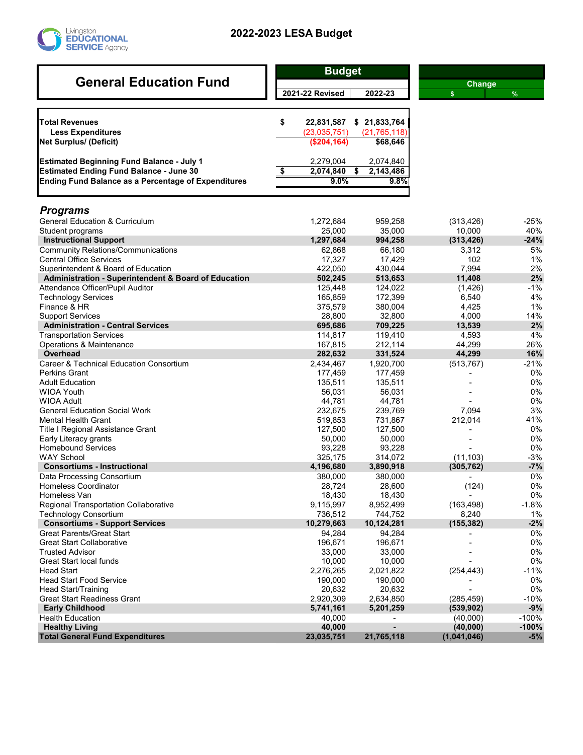

## **2022-2023 LESA Budget**

| <b>General Education Fund</b>                                   | <b>Budget</b>          |                      |               |         |  |
|-----------------------------------------------------------------|------------------------|----------------------|---------------|---------|--|
|                                                                 |                        |                      | <b>Change</b> |         |  |
|                                                                 | <b>2021-22 Revised</b> | 2022-23              | $\mathsf{s}$  | $\%$    |  |
|                                                                 |                        |                      |               |         |  |
| <b>Total Revenues</b>                                           | \$<br>22,831,587       | \$21,833,764         |               |         |  |
| <b>Less Expenditures</b>                                        | (23,035,751)           | (21, 765, 118)       |               |         |  |
| <b>Net Surplus/ (Deficit)</b>                                   | (\$204, 164)           | \$68,646             |               |         |  |
| <b>Estimated Beginning Fund Balance - July 1</b>                | 2,279,004              | 2,074,840            |               |         |  |
| <b>Estimated Ending Fund Balance - June 30</b>                  | \$<br>2,074,840        | \$<br>2,143,486      |               |         |  |
| <b>Ending Fund Balance as a Percentage of Expenditures</b>      | 9.0%                   | 9.8%                 |               |         |  |
|                                                                 |                        |                      |               |         |  |
| <b>Programs</b>                                                 |                        |                      |               |         |  |
| <b>General Education &amp; Curriculum</b>                       | 1,272,684              | 959,258              | (313, 426)    | $-25%$  |  |
| Student programs                                                | 25,000                 | 35,000               | 10,000        | 40%     |  |
| <b>Instructional Support</b>                                    | 1,297,684              | 994,258              | (313, 426)    | $-24%$  |  |
| <b>Community Relations/Communications</b>                       | 62,868                 | 66,180               | 3,312         | 5%      |  |
| <b>Central Office Services</b>                                  | 17,327                 | 17,429               | 102           | 1%      |  |
| Superintendent & Board of Education                             | 422,050                | 430,044              | 7,994         | 2%      |  |
| <b>Administration - Superintendent &amp; Board of Education</b> | 502,245                | 513,653              | 11,408        | 2%      |  |
| Attendance Officer/Pupil Auditor                                | 125,448                | 124,022              | (1,426)       | $-1%$   |  |
| <b>Technology Services</b>                                      | 165,859                | 172,399              | 6.540         | 4%      |  |
| Finance & HR                                                    | 375,579                | 380,004              | 4,425         | 1%      |  |
| <b>Support Services</b>                                         | 28,800                 | 32,800               | 4,000         | 14%     |  |
| <b>Administration - Central Services</b>                        | 695,686                | 709,225              | 13,539        | 2%      |  |
| <b>Transportation Services</b>                                  | 114,817                | 119,410              | 4,593         | 4%      |  |
| Operations & Maintenance                                        | 167,815                | 212,114              | 44,299        | 26%     |  |
| <b>Overhead</b>                                                 | 282,632                | 331,524              | 44,299        | 16%     |  |
| <b>Career &amp; Technical Education Consortium</b>              | 2,434,467              | 1,920,700            | (513, 767)    | $-21%$  |  |
| <b>Perkins Grant</b>                                            | 177,459                | 177,459              |               | 0%      |  |
| <b>Adult Education</b>                                          | 135,511                | 135,511              |               | 0%      |  |
| <b>WIOA Youth</b>                                               | 56,031                 | 56,031               |               | 0%      |  |
| <b>WIOA Adult</b>                                               | 44,781                 | 44,781               |               | 0%      |  |
| <b>General Education Social Work</b>                            | 232,675                | 239,769              | 7,094         | 3%      |  |
| Mental Health Grant                                             | 519,853                | 731,867              | 212,014       | 41%     |  |
| Title I Regional Assistance Grant                               | 127,500                | 127,500              |               | 0%      |  |
| Early Literacy grants                                           | 50,000                 | 50,000               |               | 0%      |  |
| <b>Homebound Services</b>                                       | 93,228                 | 93,228               |               | 0%      |  |
| <b>WAY School</b>                                               | 325,175                | 314,072              | (11, 103)     | $-3%$   |  |
| <b>Consortiums - Instructional</b>                              | 4,196,680              | 3,890,918            | (305, 762)    | $-7%$   |  |
| Data Processing Consortium                                      | 380,000                | 380,000              |               | 0%      |  |
| <b>Homeless Coordinator</b>                                     | 28,724                 | 28,600               | (124)         | 0%      |  |
| Homeless Van                                                    | 18,430                 | 18,430               |               | 0%      |  |
| <b>Regional Transportation Collaborative</b>                    | 9,115,997              |                      | (163, 498)    | $-1.8%$ |  |
|                                                                 | 736,512                | 8,952,499<br>744,752 | 8,240         | $1\%$   |  |
| <b>Technology Consortium</b>                                    | 10,279,663             | 10,124,281           | (155, 382)    | $-2%$   |  |
| <b>Consortiums - Support Services</b>                           |                        |                      |               |         |  |
| <b>Great Parents/Great Start</b>                                | 94,284                 | 94,284               |               | 0%      |  |
| <b>Great Start Collaborative</b>                                | 196,671                | 196,671              |               | 0%      |  |
| <b>Trusted Advisor</b>                                          | 33,000                 | 33,000               |               | $0\%$   |  |
| <b>Great Start local funds</b>                                  | 10,000                 | 10,000               |               | 0%      |  |
| <b>Head Start</b>                                               | 2,276,265              | 2,021,822            | (254, 443)    | $-11%$  |  |
| <b>Head Start Food Service</b>                                  | 190,000                | 190,000              |               | 0%      |  |
| Head Start/Training                                             | 20,632                 | 20,632               |               | $0\%$   |  |
| <b>Great Start Readiness Grant</b>                              | 2,920,309              | 2,634,850            | (285, 459)    | $-10%$  |  |
| <b>Early Childhood</b>                                          | 5,741,161              | 5,201,259            | (539, 902)    | $-9%$   |  |
| <b>Health Education</b>                                         | 40,000                 |                      | (40,000)      | $-100%$ |  |
| <b>Healthy Living</b>                                           | 40,000                 | $\blacksquare$       | (40,000)      | $-100%$ |  |
| <b>Total General Fund Expenditures</b>                          | 23,035,751             | 21,765,118           | (1,041,046)   | $-5%$   |  |